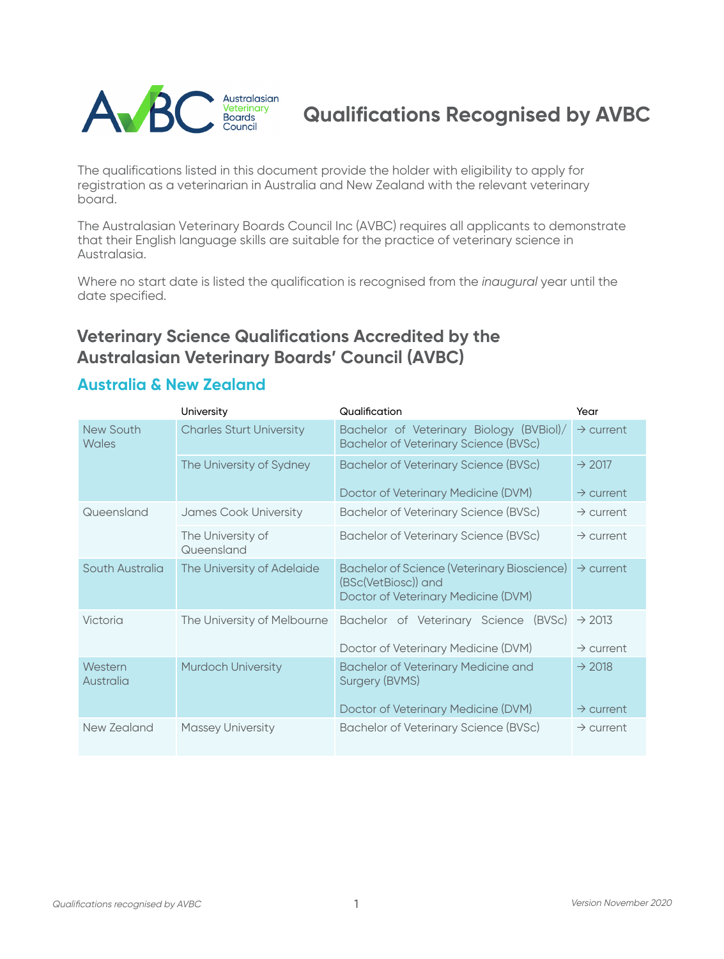

# **Qualifications Recognised by AVBC**

The qualifications listed in this document provide the holder with eligibility to apply for registration as a veterinarian in Australia and New Zealand with the relevant veterinary board.

The Australasian Veterinary Boards Council Inc (AVBC) requires all applicants to demonstrate that their English language skills are suitable for the practice of veterinary science in Australasia.

Where no start date is listed the qualification is recognised from the *inaugural* year until the date specified.

### **Veterinary Science Qualifications Accredited by the Australasian Veterinary Boards' Council (AVBC)**

#### **Australia & New Zealand**

|                      | University                      | Qualification                                                                                                    | Year                  |
|----------------------|---------------------------------|------------------------------------------------------------------------------------------------------------------|-----------------------|
| New South<br>Wales   | <b>Charles Sturt University</b> | Bachelor of Veterinary Biology (BVBiol)/<br><b>Bachelor of Veterinary Science (BVSc)</b>                         | $\rightarrow$ current |
|                      | The University of Sydney        | Bachelor of Veterinary Science (BVSc)                                                                            | $\rightarrow$ 2017    |
|                      |                                 | Doctor of Veterinary Medicine (DVM)                                                                              | $\rightarrow$ current |
| Queensland           | James Cook University           | Bachelor of Veterinary Science (BVSc)                                                                            | $\rightarrow$ current |
|                      | The University of<br>Queensland | Bachelor of Veterinary Science (BVSc)                                                                            | $\rightarrow$ current |
| South Australia      | The University of Adelaide      | <b>Bachelor of Science (Veterinary Bioscience)</b><br>(BSc(VetBiosc)) and<br>Doctor of Veterinary Medicine (DVM) | $\rightarrow$ current |
| Victoria             | The University of Melbourne     | Bachelor of Veterinary Science<br>(BVSc)                                                                         | $\rightarrow$ 2013    |
|                      |                                 | Doctor of Veterinary Medicine (DVM)                                                                              | $\rightarrow$ current |
| Western<br>Australia | <b>Murdoch University</b>       | <b>Bachelor of Veterinary Medicine and</b><br><b>Surgery (BVMS)</b>                                              | $\rightarrow$ 2018    |
|                      |                                 | Doctor of Veterinary Medicine (DVM)                                                                              | $\rightarrow$ current |
| New Zealand          | <b>Massey University</b>        | Bachelor of Veterinary Science (BVSc)                                                                            | $\rightarrow$ current |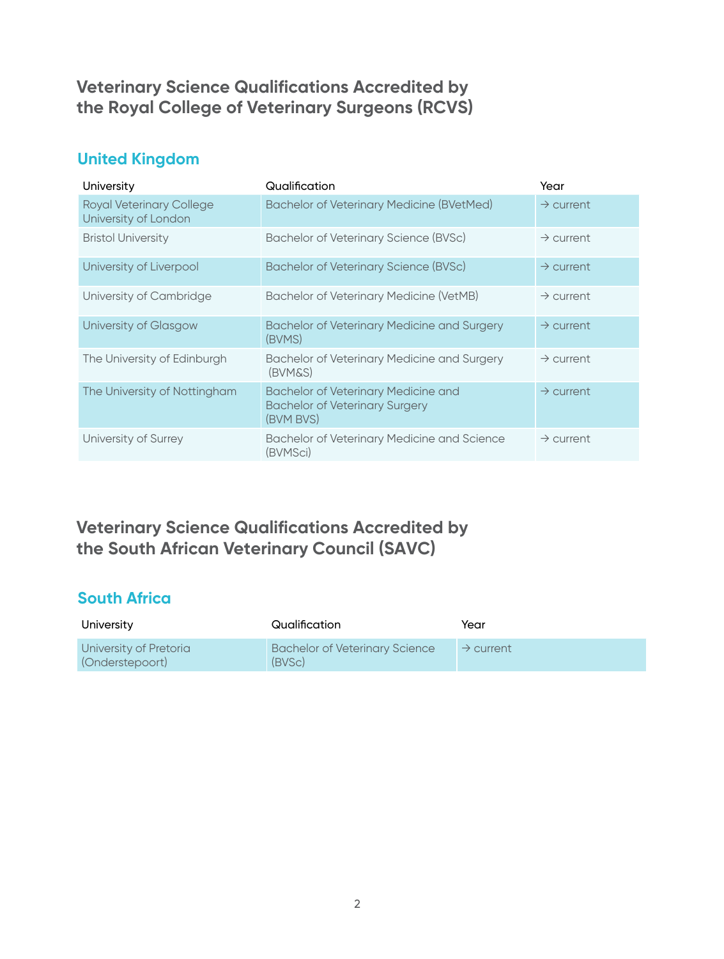#### **Veterinary Science Qualifications Accredited by the Royal College of Veterinary Surgeons (RCVS)**

#### **United Kingdom**

| University                                              | Qualification                                                                             | Year                  |
|---------------------------------------------------------|-------------------------------------------------------------------------------------------|-----------------------|
| <b>Royal Veterinary College</b><br>University of London | <b>Bachelor of Veterinary Medicine (BVetMed)</b>                                          | $\rightarrow$ current |
| <b>Bristol University</b>                               | Bachelor of Veterinary Science (BVSc)                                                     | $\rightarrow$ current |
| University of Liverpool                                 | <b>Bachelor of Veterinary Science (BVSc)</b>                                              | $\rightarrow$ current |
| University of Cambridge                                 | Bachelor of Veterinary Medicine (VetMB)                                                   | $\rightarrow$ current |
| University of Glasgow                                   | <b>Bachelor of Veterinary Medicine and Surgery</b><br>(BVMS)                              | $\rightarrow$ current |
| The University of Edinburgh                             | Bachelor of Veterinary Medicine and Surgery<br>(BVM&S)                                    | $\rightarrow$ current |
| The University of Nottingham                            | Bachelor of Veterinary Medicine and<br><b>Bachelor of Veterinary Surgery</b><br>(BVM BVS) | $\rightarrow$ current |
| University of Surrey                                    | <b>Bachelor of Veterinary Medicine and Science</b><br>(BVMSci)                            | $\rightarrow$ current |

### **Veterinary Science Qualifications Accredited by the South African Veterinary Council (SAVC)**

#### **South Africa**

| University                                | Qualification                                   | Year                  |
|-------------------------------------------|-------------------------------------------------|-----------------------|
| University of Pretoria<br>(Onderstepoort) | <b>Bachelor of Veterinary Science</b><br>(BVSc) | $\rightarrow$ current |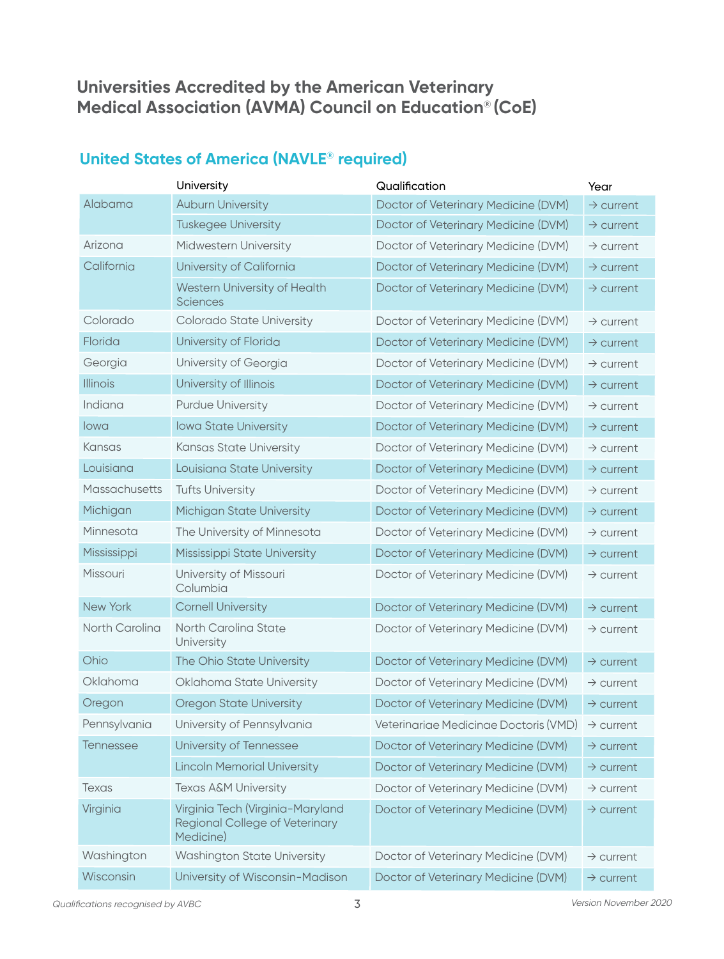### **Universities Accredited by the American Veterinary Medical Association (AVMA) Council on Education**® **(CoE)**

#### **United States of America (NAVLE**®  **required)**

|                  | University                                                                      | Qualification                         | Year                  |
|------------------|---------------------------------------------------------------------------------|---------------------------------------|-----------------------|
| Alabama          | <b>Auburn University</b>                                                        | Doctor of Veterinary Medicine (DVM)   | $\rightarrow$ current |
|                  | <b>Tuskegee University</b>                                                      | Doctor of Veterinary Medicine (DVM)   | $\rightarrow$ current |
| Arizona          | Midwestern University                                                           | Doctor of Veterinary Medicine (DVM)   | $\rightarrow$ current |
| California       | University of California                                                        | Doctor of Veterinary Medicine (DVM)   | $\rightarrow$ current |
|                  | Western University of Health<br><b>Sciences</b>                                 | Doctor of Veterinary Medicine (DVM)   | $\rightarrow$ current |
| Colorado         | Colorado State University                                                       | Doctor of Veterinary Medicine (DVM)   | $\rightarrow$ current |
| Florida          | University of Florida                                                           | Doctor of Veterinary Medicine (DVM)   | $\rightarrow$ current |
| Georgia          | University of Georgia                                                           | Doctor of Veterinary Medicine (DVM)   | $\rightarrow$ current |
| <b>Illinois</b>  | University of Illinois                                                          | Doctor of Veterinary Medicine (DVM)   | $\rightarrow$ current |
| Indiana          | <b>Purdue University</b>                                                        | Doctor of Veterinary Medicine (DVM)   | $\rightarrow$ current |
| lowa             | <b>lowa State University</b>                                                    | Doctor of Veterinary Medicine (DVM)   | $\rightarrow$ current |
| Kansas           | Kansas State University                                                         | Doctor of Veterinary Medicine (DVM)   | $\rightarrow$ current |
| Louisiana        | Louisiana State University                                                      | Doctor of Veterinary Medicine (DVM)   | $\rightarrow$ current |
| Massachusetts    | <b>Tufts University</b>                                                         | Doctor of Veterinary Medicine (DVM)   | $\rightarrow$ current |
| Michigan         | Michigan State University                                                       | Doctor of Veterinary Medicine (DVM)   | $\rightarrow$ current |
| Minnesota        | The University of Minnesota                                                     | Doctor of Veterinary Medicine (DVM)   | $\rightarrow$ current |
| Mississippi      | Mississippi State University                                                    | Doctor of Veterinary Medicine (DVM)   | $\rightarrow$ current |
| Missouri         | University of Missouri<br>Columbia                                              | Doctor of Veterinary Medicine (DVM)   | $\rightarrow$ current |
| New York         | <b>Cornell University</b>                                                       | Doctor of Veterinary Medicine (DVM)   | $\rightarrow$ current |
| North Carolina   | North Carolina State<br>University                                              | Doctor of Veterinary Medicine (DVM)   | $\rightarrow$ current |
| Ohio             | The Ohio State University                                                       | Doctor of Veterinary Medicine (DVM)   | $\rightarrow$ current |
| Oklahoma         | Oklahoma State University                                                       | Doctor of Veterinary Medicine (DVM)   | $\rightarrow$ current |
| Oregon           | Oregon State University                                                         | Doctor of Veterinary Medicine (DVM)   | $\rightarrow$ current |
| Pennsylvania     | University of Pennsylvania                                                      | Veterinariae Medicinae Doctoris (VMD) | $\rightarrow$ current |
| <b>Tennessee</b> | University of Tennessee                                                         | Doctor of Veterinary Medicine (DVM)   | $\rightarrow$ current |
|                  | <b>Lincoln Memorial University</b>                                              | Doctor of Veterinary Medicine (DVM)   | $\rightarrow$ current |
| Texas            | <b>Texas A&amp;M University</b>                                                 | Doctor of Veterinary Medicine (DVM)   | $\rightarrow$ current |
| Virginia         | Virginia Tech (Virginia-Maryland<br>Regional College of Veterinary<br>Medicine) | Doctor of Veterinary Medicine (DVM)   | $\rightarrow$ current |
| Washington       | <b>Washington State University</b>                                              | Doctor of Veterinary Medicine (DVM)   | $\rightarrow$ current |
| Wisconsin        | University of Wisconsin-Madison                                                 | Doctor of Veterinary Medicine (DVM)   | $\rightarrow$ current |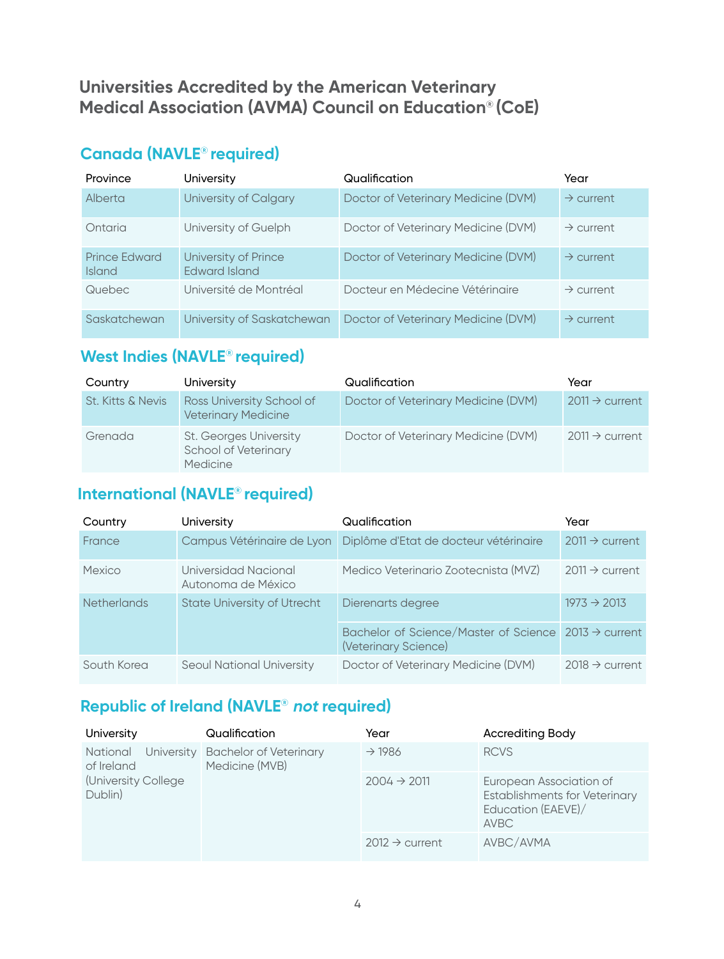#### **Universities Accredited by the American Veterinary Medical Association (AVMA) Council on Education**® **(CoE)**

### **Canada (NAVLE**® **required)**

| Province                              | University                            | Qualification                       | Year                  |
|---------------------------------------|---------------------------------------|-------------------------------------|-----------------------|
| Alberta                               | University of Calgary                 | Doctor of Veterinary Medicine (DVM) | $\rightarrow$ current |
| Ontaria                               | University of Guelph                  | Doctor of Veterinary Medicine (DVM) | $\rightarrow$ current |
| <b>Prince Edward</b><br><b>Island</b> | University of Prince<br>Edward Island | Doctor of Veterinary Medicine (DVM) | $\rightarrow$ current |
| Quebec                                | Université de Montréal                | Docteur en Médecine Vétéringire     | $\rightarrow$ current |
| Saskatchewan                          | University of Saskatchewan            | Doctor of Veterinary Medicine (DVM) | $\rightarrow$ current |

### **West Indies (NAVLE**® **required)**

| Country                      | University                                                               | Qualification                       | Year                       |
|------------------------------|--------------------------------------------------------------------------|-------------------------------------|----------------------------|
| <b>St. Kitts &amp; Nevis</b> | Ross University School of<br><b>Veterinary Medicine</b>                  | Doctor of Veterinary Medicine (DVM) | $2011 \rightarrow$ current |
| Grenada                      | <b>St. Georges University</b><br>School of Veterinary<br><b>Medicine</b> | Doctor of Veterinary Medicine (DVM) | $2011 \rightarrow$ current |

### **International (NAVLE**® **required)**

| Country     | University                                 | Qualification                                                                            | Year                       |
|-------------|--------------------------------------------|------------------------------------------------------------------------------------------|----------------------------|
| France      | Campus Vétérinaire de Lyon                 | Diplôme d'Etat de docteur vétérinaire                                                    | $2011 \rightarrow$ current |
| Mexico      | Universidad Nacional<br>Autonoma de México | Medico Veterinario Zootecnista (MVZ)                                                     | $2011 \rightarrow$ current |
| Netherlands | <b>State University of Utrecht</b>         | Dierenarts degree                                                                        | $1973 \div 2013$           |
|             |                                            | Bachelor of Science/Master of Science $2013 \rightarrow$ current<br>(Veterinary Science) |                            |
| South Korea | <b>Seoul National University</b>           | Doctor of Veterinary Medicine (DVM)                                                      | $2018 \rightarrow$ current |

# **Republic of Ireland (NAVLE**® **not required)**

| University                                                       | Qualification                                       | Year                       | <b>Accrediting Body</b>                                                                       |
|------------------------------------------------------------------|-----------------------------------------------------|----------------------------|-----------------------------------------------------------------------------------------------|
| <b>National</b><br>of Ireland<br>(University College)<br>Dublin) | University Bachelor of Veterinary<br>Medicine (MVB) | $\rightarrow$ 1986         | <b>RCVS</b>                                                                                   |
|                                                                  |                                                     | $2004 \rightarrow 2011$    | European Association of<br>Establishments for Veterinary<br>Education (EAEVE)/<br><b>AVBC</b> |
|                                                                  |                                                     | $2012 \rightarrow$ current | AVBC/AVMA                                                                                     |